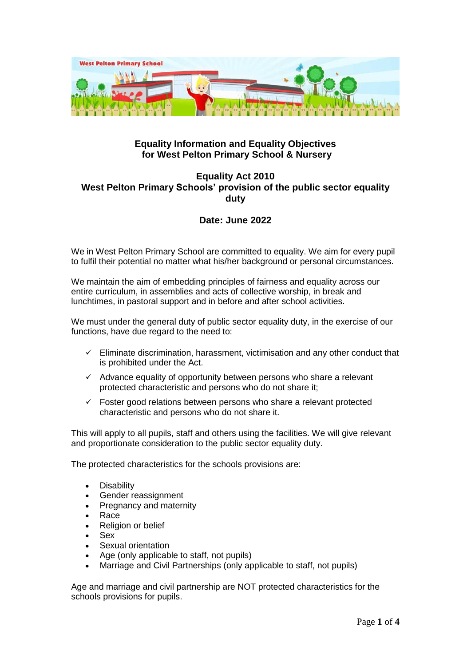

## **Equality Information and Equality Objectives for West Pelton Primary School & Nursery**

## **Equality Act 2010 West Pelton Primary Schools' provision of the public sector equality duty**

# **Date: June 2022**

We in West Pelton Primary School are committed to equality. We aim for every pupil to fulfil their potential no matter what his/her background or personal circumstances.

We maintain the aim of embedding principles of fairness and equality across our entire curriculum, in assemblies and acts of collective worship, in break and lunchtimes, in pastoral support and in before and after school activities.

We must under the general duty of public sector equality duty, in the exercise of our functions, have due regard to the need to:

- Eliminate discrimination, harassment, victimisation and any other conduct that is prohibited under the Act.
- $\checkmark$  Advance equality of opportunity between persons who share a relevant protected characteristic and persons who do not share it;
- $\checkmark$  Foster good relations between persons who share a relevant protected characteristic and persons who do not share it.

This will apply to all pupils, staff and others using the facilities. We will give relevant and proportionate consideration to the public sector equality duty.

The protected characteristics for the schools provisions are:

- **Disability**
- Gender reassignment
- Pregnancy and maternity
- Race
- Religion or belief
- Sex
- Sexual orientation
- Age (only applicable to staff, not pupils)
- Marriage and Civil Partnerships (only applicable to staff, not pupils)

Age and marriage and civil partnership are NOT protected characteristics for the schools provisions for pupils.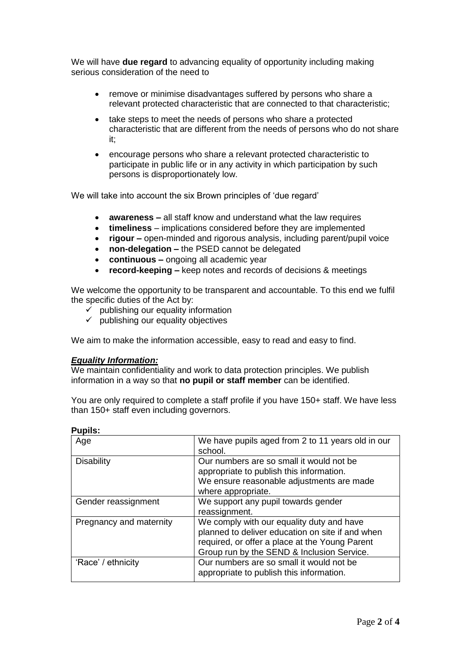We will have **due regard** to advancing equality of opportunity including making serious consideration of the need to

- remove or minimise disadvantages suffered by persons who share a relevant protected characteristic that are connected to that characteristic;
- take steps to meet the needs of persons who share a protected characteristic that are different from the needs of persons who do not share it;
- encourage persons who share a relevant protected characteristic to participate in public life or in any activity in which participation by such persons is disproportionately low.

We will take into account the six Brown principles of 'due regard'

- **awareness** all staff know and understand what the law requires
- **timeliness**  implications considered before they are implemented
- **rigour –** open-minded and rigorous analysis, including parent/pupil voice
- **non-delegation –** the PSED cannot be delegated
- **continuous –** ongoing all academic year
- **record-keeping –** keep notes and records of decisions & meetings

We welcome the opportunity to be transparent and accountable. To this end we fulfil the specific duties of the Act by:

- $\overrightarrow{y}$  publishing our equality information
- $\checkmark$  publishing our equality objectives

We aim to make the information accessible, easy to read and easy to find.

#### *Equality Information:*

We maintain confidentiality and work to data protection principles. We publish information in a way so that **no pupil or staff member** can be identified.

You are only required to complete a staff profile if you have 150+ staff. We have less than 150+ staff even including governors.

| Pupiis.                 |                                                                                                                                                                                               |
|-------------------------|-----------------------------------------------------------------------------------------------------------------------------------------------------------------------------------------------|
| Age                     | We have pupils aged from 2 to 11 years old in our<br>school.                                                                                                                                  |
| <b>Disability</b>       | Our numbers are so small it would not be<br>appropriate to publish this information.<br>We ensure reasonable adjustments are made<br>where appropriate.                                       |
| Gender reassignment     | We support any pupil towards gender<br>reassignment.                                                                                                                                          |
| Pregnancy and maternity | We comply with our equality duty and have<br>planned to deliver education on site if and when<br>required, or offer a place at the Young Parent<br>Group run by the SEND & Inclusion Service. |
| 'Race' / ethnicity      | Our numbers are so small it would not be<br>appropriate to publish this information.                                                                                                          |

**Pupils:**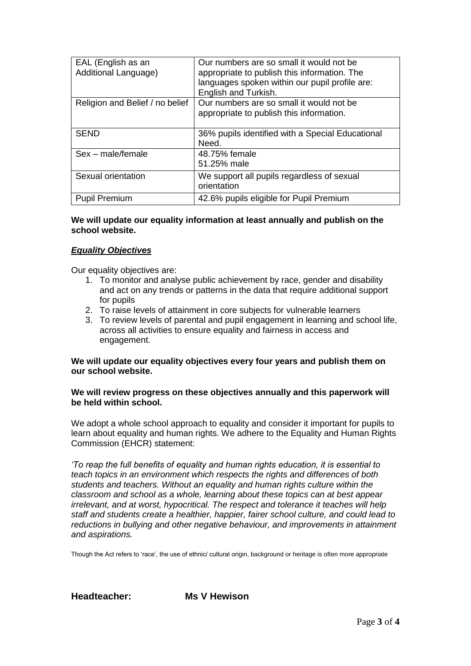| EAL (English as an<br>Additional Language) | Our numbers are so small it would not be<br>appropriate to publish this information. The<br>languages spoken within our pupil profile are:<br>English and Turkish. |
|--------------------------------------------|--------------------------------------------------------------------------------------------------------------------------------------------------------------------|
| Religion and Belief / no belief            | Our numbers are so small it would not be<br>appropriate to publish this information.                                                                               |
| <b>SEND</b>                                | 36% pupils identified with a Special Educational<br>Need.                                                                                                          |
| $Sex - male/female$                        | 48.75% female<br>51.25% male                                                                                                                                       |
| Sexual orientation                         | We support all pupils regardless of sexual<br>orientation                                                                                                          |
| <b>Pupil Premium</b>                       | 42.6% pupils eligible for Pupil Premium                                                                                                                            |

#### **We will update our equality information at least annually and publish on the school website.**

#### *Equality Objectives*

Our equality objectives are:

- 1. To monitor and analyse public achievement by race, gender and disability and act on any trends or patterns in the data that require additional support for pupils
- 2. To raise levels of attainment in core subjects for vulnerable learners
- 3. To review levels of parental and pupil engagement in learning and school life, across all activities to ensure equality and fairness in access and engagement.

### **We will update our equality objectives every four years and publish them on our school website.**

#### **We will review progress on these objectives annually and this paperwork will be held within school.**

We adopt a whole school approach to equality and consider it important for pupils to learn about equality and human rights. We adhere to the Equality and Human Rights Commission (EHCR) statement:

*'To reap the full benefits of equality and human rights education, it is essential to teach topics in an environment which respects the rights and differences of both students and teachers. Without an equality and human rights culture within the classroom and school as a whole, learning about these topics can at best appear irrelevant, and at worst, hypocritical. The respect and tolerance it teaches will help staff and students create a healthier, happier, fairer school culture, and could lead to reductions in bullying and other negative behaviour, and improvements in attainment and aspirations.*

Though the Act refers to 'race', the use of ethnic/ cultural origin, background or heritage is often more appropriate

**Headteacher: Ms V Hewison**